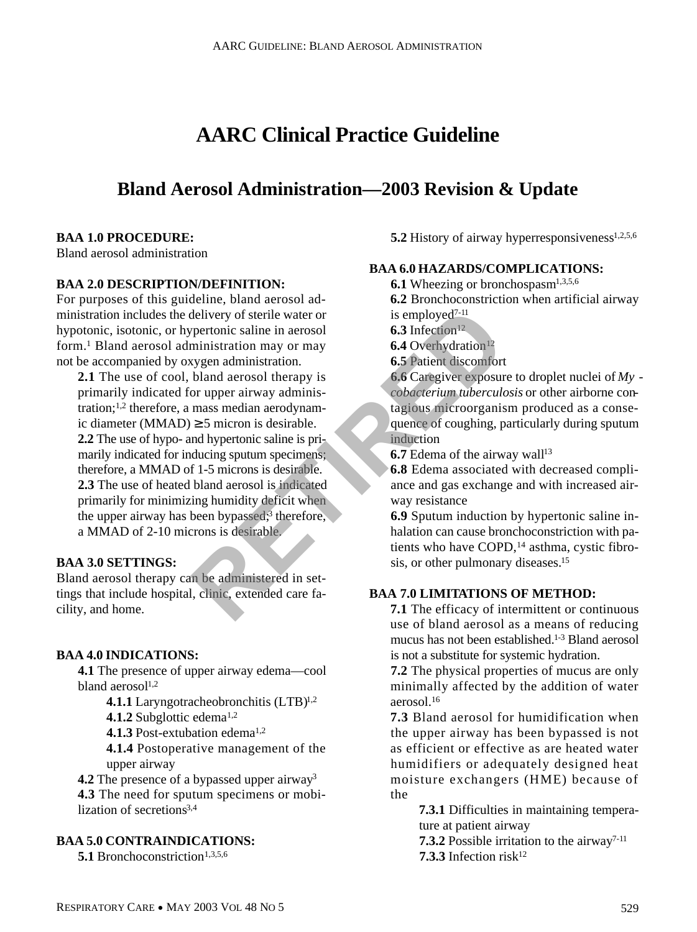# **AARC Clinical Practice Guideline**

# **Bland Aerosol Administration—2003 Revision & Update**

### **BAA 1.0 PROCEDURE:**

Bland aerosol administration

#### **BAA 2.0 DESCRIPTION/DEFINITION:**

For purposes of this guideline, bland aerosol administration includes the delivery of sterile water or hypotonic, isotonic, or hypertonic saline in aerosol form.<sup>1</sup> Bland aerosol administration may or may not be accompanied by oxygen administration.

**2.1** The use of cool, bland aerosol therapy is primarily indicated for upper airway administration;1,2 therefore, a mass median aerodynamic diameter (MMAD) 5 micron is desirable. **2.2** The use of hypo- and hypertonic saline is primarily indicated for inducing sputum specimens; therefore, a MMAD of 1-5 microns is desirable. **2.3** The use of heated bland aerosol is indicated primarily for minimizing humidity deficit when the upper airway has been bypassed;<sup>3</sup> therefore, a MMAD of 2-10 microns is desirable. delivery of sterile water or<br>
ministration may or may<br>
ministration may or may<br>
stration may or may<br>
stration.<br>
Sa Infection<sup>12</sup><br>
Sa Infection<sup>12</sup><br>
Sa Infection<sup>12</sup><br>
Sa Infection<sup>12</sup><br>
Sa Infection<sup>12</sup><br>
Sa Infection<sup>12</sup><br>
Sa

### **BAA 3.0 SETTINGS:**

Bland aerosol therapy can be administered in settings that include hospital, clinic, extended care facility, and home.

#### **BAA 4.0 INDICATIONS:**

**4.1** The presence of upper airway edema—cool bland aerosol<sup>1,2</sup>

**4.1.1** Laryngotracheobronchitis  $(LTB)^{1,2}$ 

**4.1.2** Subglottic edema<sup>1,2</sup>

**4.1.3** Post-extubation edema<sup>1,2</sup>

**4.1.4** Postoperative management of the upper airway

**4.2** The presence of a bypassed upper airway<sup>3</sup> **4 . 3** The need for sputum specimens or mobilization of secretions<sup>3,4</sup>

### **BAA 5.0 CONTRAINDICATIONS:**

**5.1** Bronchoconstriction<sup>1,3,5,6</sup>

#### **5.2** History of airway hyperresponsiveness<sup>1,2,5,6</sup>

#### **BAA 6.0 HAZARDS/COMPLICATIONS:**

**6.1** Wheezing or bronchospasm<sup>1,3,5,6</sup>

**6.2** Bronchoconstriction when artificial airway is employed7-11

 $6.3$  Infection<sup>12</sup>

**6.4** Overhydration<sup>12</sup>

**6.5** Patient discomfort

**6.6** Caregiver exposure to droplet nuclei of *My cobacterium tuberculosis* or other airborne contagious microorganism produced as a consequence of coughing, particularly during sputum induction

**6.7** Edema of the airway wall<sup>13</sup>

**6 . 8** Edema associated with decreased compliance and gas exchange and with increased airway resistance

**6 . 9** Sputum induction by hypertonic saline inhalation can cause bronchoconstriction with patients who have COPD,<sup>14</sup> asthma, cystic fibrosis, or other pulmonary diseases.<sup>15</sup>

## **BAA 7.0 LIMITATIONS OF METHOD:**

**7.1** The efficacy of intermittent or continuous use of bland aerosol as a means of reducing mucus has not been established.<sup>1-3</sup> Bland aerosol is not a substitute for systemic hydration.

**7.2** The physical properties of mucus are only minimally affected by the addition of water aerosol.<sup>16</sup>

**7 . 3** Bland aerosol for humidification when the upper airway has been bypassed is not as efficient or effective as are heated water humidifiers or adequately designed heat moisture exchangers (HME) because of the

**7.3.1** Difficulties in maintaining temperature at patient airway

**7.3.2** Possible irritation to the airway<sup>7-11</sup> **7.3.3** Infection risk<sup>12</sup>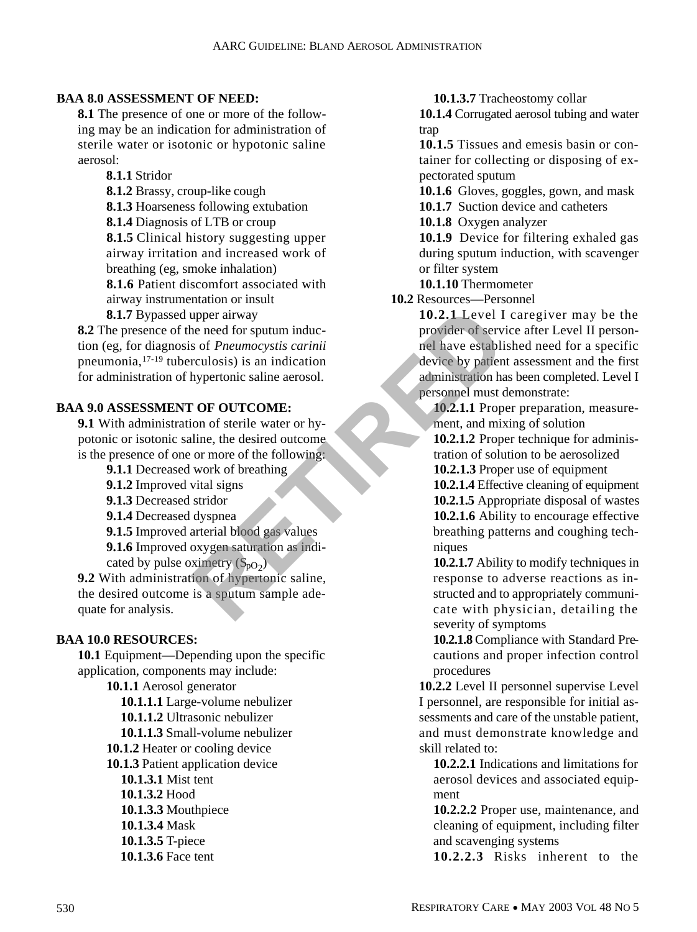## **BAA 8.0 ASSESSMENT OF NEED:**

**8.1** The presence of one or more of the following may be an indication for administration of sterile water or isotonic or hypotonic saline aerosol:

**8.1.1** Stridor

**8.1.2** Brassy, croup-like cough

**8.1.3** Hoarseness following extubation

**8.1.4** Diagnosis of LTB or croup

**8.1.5** Clinical history suggesting upper airway irritation and increased work of breathing (eg, smoke inhalation)

**8.1.6** Patient discomfort associated with airway instrumentation or insult

**8.1.7** Bypassed upper airway

**8.2** The presence of the need for sputum induction (eg, for diagnosis of *Pneumocystis carinii* p neumonia,  $17-19$  tuberculosis) is an indication for administration of hypertonic saline aerosol. upper airway **10.2.1** Level I<br>
ne need for sputum induc-<br>
sof *Pneumocystis carinii*<br>
rculosis) is an indication<br>
transformation in the action<br>
transformation in the desired outcome<br>
or more of the following:<br>
or more of t

## **BAA 9.0 ASSESSMENT OF OUTCOME:**

**9.1** With administration of sterile water or hypotonic or isotonic saline, the desired outcome is the presence of one or more of the following:

- **9.1.1** Decreased work of breathing
- **9.1.2** Improved vital signs
- **9.1.3** Decreased stridor

**9.1.4** Decreased dyspnea

**9.1.5** Improved arterial blood gas values

**9.1.6** Improved oxygen saturation as indi-

cated by pulse oximetry  $(S_{pO_2})$ **9.2** With administration of hypertonic saline, the desired outcome is a sputum sample adequate for analysis.

## **BAA 10.0 RESOURCES:**

**10.1** Equipment—Depending upon the specific application, components may include:

**10.1.1** Aerosol generator **10.1.1.1** Large-volume nebulizer **10.1.1.2** Ultrasonic nebulizer **10.1.1.3** Small-volume nebulizer **10.1.2** Heater or cooling device **10.1.3** Patient application device **10.1.3.1** Mist tent **10.1.3.2** Hood **10.1.3.3** Mouthpiece **10.1.3.4** Mask **10.1.3.5** T-piece **10.1.3.6** Face tent

**10.1.3.7** Tracheostomy collar

**10.1.4** Corrugated aerosol tubing and water trap

**10.1.5** Tissues and emesis basin or container for collecting or disposing of expectorated sputum

**10.1.6** Gloves, goggles, gown, and mask

**10.1.7** Suction device and catheters

**10.1.8** Oxygen analyzer

**10.1.9** Device for filtering exhaled gas during sputum induction, with scavenger or filter system

**10.1.10** Thermometer

**10.2** Resources—Personnel

**10.2.1** Level I caregiver may be the provider of service after Level II personnel have established need for a specific device by patient assessment and the first administration has been completed. Level I personnel must demonstrate:

**10.2.1.1** Proper preparation, measurement, and mixing of solution

**10.2.1.2** Proper technique for administration of solution to be aerosolized

**10.2.1.3** Proper use of equipment

**10.2.1.4** Effective cleaning of equipment **10.2.1.5** Appropriate disposal of wastes **10.2.1.6** Ability to encourage effective breathing patterns and coughing techniques

**10.2.1.7** Ability to modify techniques in response to adverse reactions as instructed and to appropriately communicate with physician, detailing the severity of symptoms

10.2.1.8 Compliance with Standard Precautions and proper infection control procedures

**10.2.2** Level II personnel supervise Level I personnel, are responsible for initial assessments and care of the unstable patient, and must demonstrate knowledge and skill related to:

**10.2.2.1** Indications and limitations for aerosol devices and associated equipment

**10.2.2.2** Proper use, maintenance, and cleaning of equipment, including filter and scavenging systems

10.2.2.3 Risks inherent to the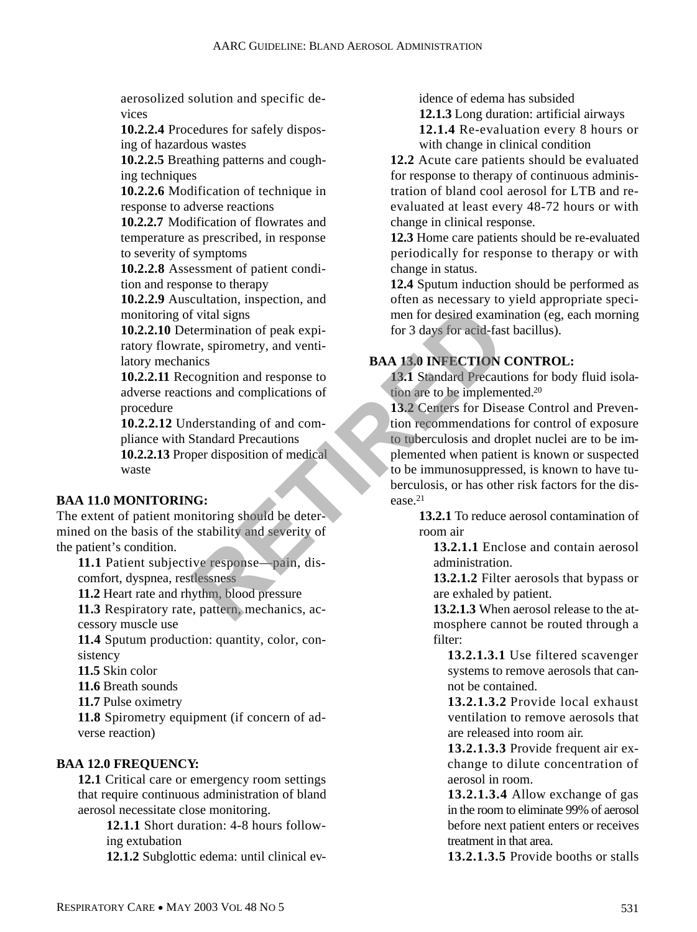aerosolized solution and specific devices

**10.2.2.4** Procedures for safely disposing of hazardous wastes

**10.2.2.5** Breathing patterns and coughing techniques

**10.2.2.6** Modification of technique in response to adverse reactions

**10.2.2.7** Modification of flowrates and temperature as prescribed, in response to severity of symptoms

10.2.2.8 Assessment of patient condition and response to therapy

**10.2.2.9** Auscultation, inspection, and monitoring of vital signs

**10.2.2.10** Determination of peak expiratory flowrate, spirometry, and ventilatory mechanics

**10.2.2.11** Recognition and response to adverse reactions and complications of procedure

**10.2.2.12** Understanding of and compliance with Standard Precautions

**10.2.2.13** Proper disposition of medical waste

## **BAA 11.0 MONITORING:**

The extent of patient monitoring should be determined on the basis of the stability and severity of the patient's condition.

11.1 Patient subjective response—pain, discomfort, dyspnea, restlessness

**11.2** Heart rate and rhythm, blood pressure

11.3 Respiratory rate, pattern, mechanics, accessory muscle use

11.4 Sputum production: quantity, color, consistency

**11.5** Skin color

**11.6** Breath sounds

**11.7** Pulse oximetry

**11.8** Spirometry equipment (if concern of adverse reaction)

## **BAA 12.0 FREQUENCY:**

**12.1** Critical care or emergency room settings that require continuous administration of bland aerosol necessitate close monitoring.

> **12.1.1** Short duration: 4-8 hours following extubation

> **12.1.2** Subglottic edema: until clinical ev-

idence of edema has subsided

**12.1.3** Long duration: artificial airways

**12.1.4** Re-evaluation every 8 hours or with change in clinical condition

12.2 Acute care patients should be evaluated for response to therapy of continuous administration of bland cool aerosol for LTB and reevaluated at least every 48-72 hours or with change in clinical response.

**12.3** Home care patients should be re-evaluated periodically for response to therapy or with change in status.

**12.4** Sputum induction should be performed as often as necessary to yield appropriate specimen for desired examination (eg, each morning for 3 days for acid-fast bacillus).

# **BAA 13.0 INFECTION CONTROL:**

**13.1** Standard Precautions for body fluid isolation are to be implemented.<sup>20</sup>

13.2 Centers for Disease Control and Prevention recommendations for control of exposure to tuberculosis and droplet nuclei are to be implemented when patient is known or suspected to be immunosuppressed, is known to have tuberculosis, or has other risk factors for the disease.<sup>21</sup> For ite, spirometry, and venti-<br>
ite, spirometry, and venti-<br>
ite, spirometry, and venti-<br>
ite, spirometry, and venti-<br>
ite, spirometry, and venti-<br> **RAA 13.0 INFECTION**<br> **RAA 13.0 INFECTION**<br> **RAA 13.0 INFECTION**<br> **RAA 13** 

**13.2.1** To reduce aerosol contamination of room air

**13.2.1.1** Enclose and contain aerosol administration.

**13.2.1.2** Filter aerosols that bypass or are exhaled by patient.

**13.2.1.3** When aerosol release to the atmosphere cannot be routed through a filter:

**13.2.1.3.1** Use filtered scavenger systems to remove aerosols that cannot be contained.

**1 3 . 2 . 1 . 3 . 2** Provide local exhaust ventilation to remove aerosols that are released into room air.

**13.2.1.3.3** Provide frequent air exchange to dilute concentration of aerosol in room.

**13.2.1.3.4** Allow exchange of gas in the room to eliminate 99% of aerosol before next patient enters or receives treatment in that area.

**1 3 . 2 . 1 . 3 . 5** Provide booths or stalls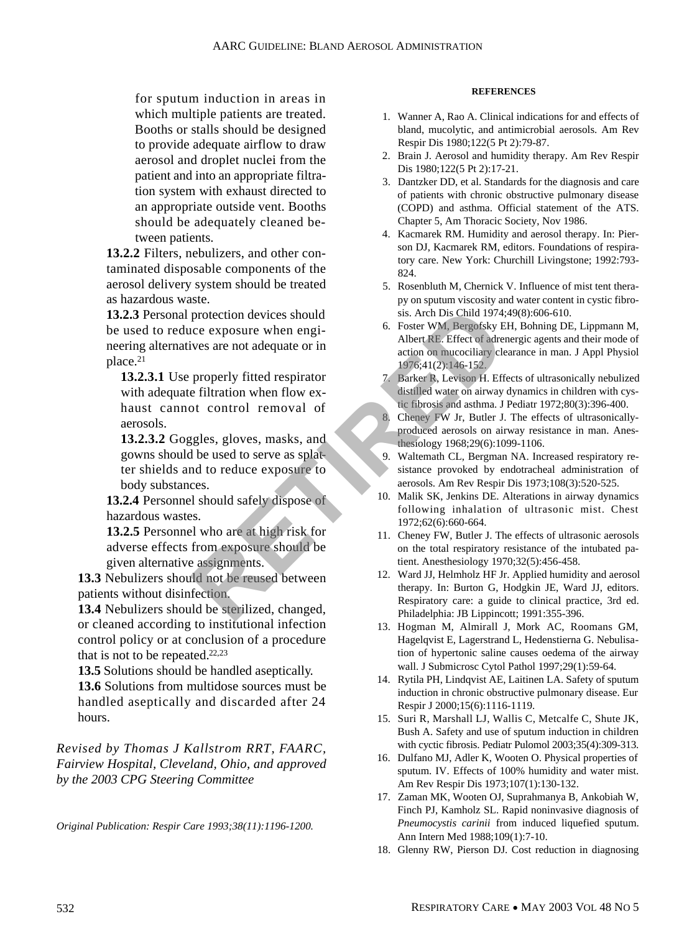for sputum induction in areas in which multiple patients are treated. Booths or stalls should be designed to provide adequate airflow to draw aerosol and droplet nuclei from the patient and into an appropriate filtration system with exhaust directed to an appropriate outside vent. Booths should be adequately cleaned between patients.

**13.2.2** Filters, nebulizers, and other contaminated disposable components of the aerosol delivery system should be treated as hazardous waste.

**13.2.3** Personal protection devices should be used to reduce exposure when engineering alternatives are not adequate or in place.<sup>21</sup>

**13.2.3.1** Use properly fitted respirator with adequate filtration when flow exhaust cannot control removal of aerosols.

**13.2.3.2** Goggles, gloves, masks, and gowns should be used to serve as splatter shields and to reduce exposure to body substances. From exposure when engi-<br>
ives are not adequate or in<br>
alter R. Effect of adequate or in<br>
alter R. Effect of adequate<br>
properly fitted respirator<br>
on macocitary clear to the control removal of<br>
the filtration when flow ex-

13.2.4 Personnel should safely dispose of hazardous wastes.

**13.2.5** Personnel who are at high risk for adverse effects from exposure should be given alternative assignments.

13.3 Nebulizers should not be reused between patients without disinfection.

13.4 Nebulizers should be sterilized, changed, or cleaned according to institutional infection control policy or at conclusion of a procedure that is not to be repeated. $22,23$ 

**13.5** Solutions should be handled aseptically.

**13.6** Solutions from multidose sources must be handled aseptically and discarded after 24 hours.

*Revised by Thomas J Kallstrom RRT, FAARC, Fairview Hospital, Cleveland, Ohio, and approved by the 2003 CPG Steering Committee*

*Original Publication: Respir Care 1993;38(11):1196-1200.*

#### **REFERENCES**

- 1. Wanner A, Rao A. Clinical indications for and effects of bland, mucolytic, and antimicrobial aerosols. Am Rev Respir Dis 1980;122(5 Pt 2):79-87.
- 2. Brain J. Aerosol and humidity therapy. Am Rev Respir Dis 1980;122(5 Pt 2):17-21.
- 3. Dantzker DD, et al. Standards for the diagnosis and care of patients with chronic obstructive pulmonary disease (COPD) and asthma. Official statement of the ATS. Chapter 5, Am Thoracic Society, Nov 1986.
- 4. Kacmarek RM. Humidity and aerosol therapy. In: Pierson DJ, Kacmarek RM, editors. Foundations of respiratory care. New York: Churchill Livingstone; 1992:793- 824.
- 5. Rosenbluth M, Chernick V. Influence of mist tent therapy on sputum viscosity and water content in cystic fibrosis. Arch Dis Child 1974;49(8):606-610.
- 6. Foster WM, Bergofsky EH, Bohning DE, Lippmann M, Albert RE. Effect of adrenergic agents and their mode of action on mucociliary clearance in man. J Appl Physiol 1976;41(2):146-152.
- Barker R, Levison H. Effects of ultrasonically nebulized distilled water on airway dynamics in children with cystic fibrosis and asthma. J Pediatr 1972;80(3):396-400.
- Cheney FW Jr, Butler J. The effects of ultrasonicallyproduced aerosols on airway resistance in man. Anesthesiology 1968;29(6):1099-1106.
- 9. Waltemath CL, Bergman NA. Increased respiratory resistance provoked by endotracheal administration of aerosols. Am Rev Respir Dis 1973;108(3):520-525.
- 10. Malik SK, Jenkins DE. Alterations in airway dynamics following inhalation of ultrasonic mist. Chest 1972;62(6):660-664.
- 11. Cheney FW, Butler J. The effects of ultrasonic aerosols on the total respiratory resistance of the intubated patient. Anesthesiology 1970;32(5):456-458.
- 12. Ward JJ, Helmholz HF Jr. Applied humidity and aerosol therapy. In: Burton G, Hodgkin JE, Ward JJ, editors. Respiratory care: a guide to clinical practice, 3rd ed. Philadelphia: JB Lippincott; 1991:355-396.
- 13. Hogman M, Almirall J, Mork AC, Roomans GM, Hagelqvist E, Lagerstrand L, Hedenstierna G. Nebulisation of hypertonic saline causes oedema of the airway wall. J Submicrosc Cytol Pathol 1997;29(1):59-64.
- 14. Rytila PH, Lindqvist AE, Laitinen LA. Safety of sputum induction in chronic obstructive pulmonary disease. Eur Respir J 2000;15(6):1116-1119.
- 15. Suri R, Marshall LJ, Wallis C, Metcalfe C, Shute JK, Bush A. Safety and use of sputum induction in children with cyctic fibrosis. Pediatr Pulomol 2003;35(4):309-313.
- 16. Dulfano MJ, Adler K, Wooten O. Physical properties of sputum. IV. Effects of 100% humidity and water mist. Am Rev Respir Dis 1973;107(1):130-132.
- 17. Zaman MK, Wooten OJ, Suprahmanya B, Ankobiah W, Finch PJ, Kamholz SL. Rapid noninvasive diagnosis of *Pneumocystis carinii* from induced liquefied sputum. Ann Intern Med 1988;109(1):7-10.
- 18. Glenny RW, Pierson DJ. Cost reduction in diagnosing